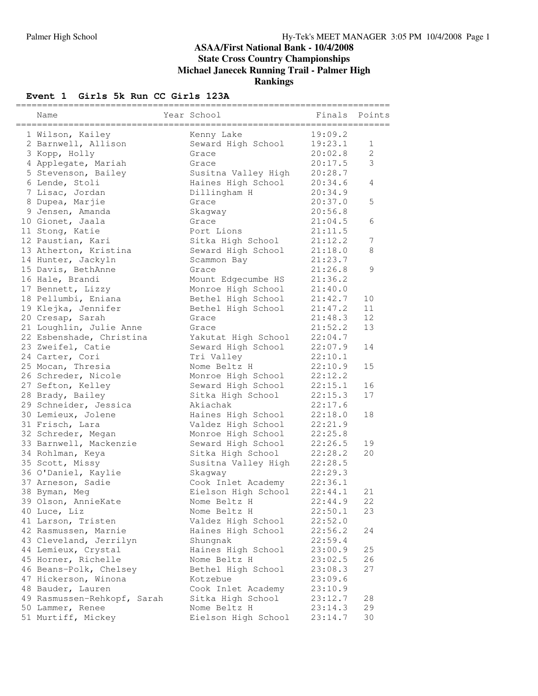#### **ASAA/First National Bank - 10/4/2008 State Cross Country Championships Michael Janecek Running Trail - Palmer High Rankings**

## **Event 1 <b>Girls** 5k Run CC Girls 123A

| Name                        | Year School                 | Finals  | Points       |
|-----------------------------|-----------------------------|---------|--------------|
| 1 Wilson, Kailey            | Kenny Lake                  | 19:09.2 |              |
| 2 Barnwell, Allison         | Seward High School          | 19:23.1 | 1            |
| 3 Kopp, Holly               | Grace                       | 20:02.8 | $\mathbf{2}$ |
| 4 Applegate, Mariah         | Grace                       | 20:17.5 | 3            |
| 5 Stevenson, Bailey         | Susitna Valley High         | 20:28.7 |              |
| 6 Lende, Stoli              | Haines High School          | 20:34.6 | 4            |
| 7 Lisac, Jordan             | Dillingham H                | 20:34.9 |              |
| 8 Dupea, Marjie             | Grace                       | 20:37.0 | 5            |
| 9 Jensen, Amanda            | Skagway                     | 20:56.8 |              |
| 10 Gionet, Jaala            | Grace                       | 21:04.5 | 6            |
| 11 Stong, Katie             | Port Lions                  | 21:11.5 |              |
| 12 Paustian, Kari           | Sitka High School           | 21:12.2 | 7            |
| 13 Atherton, Kristina       | Seward High School          | 21:18.0 | 8            |
| 14 Hunter, Jackyln          | Scammon Bay                 | 21:23.7 |              |
| 15 Davis, BethAnne          | Grace                       | 21:26.8 | 9            |
| 16 Hale, Brandi             | Mount Edgecumbe HS          | 21:36.2 |              |
| 17 Bennett, Lizzy           | Monroe High School          | 21:40.0 |              |
| 18 Pellumbi, Eniana         | Bethel High School          | 21:42.7 | 10           |
|                             |                             | 21:47.2 | 11           |
| 19 Klejka, Jennifer         | Bethel High School<br>Grace | 21:48.3 | 12           |
| 20 Cresap, Sarah            |                             | 21:52.2 | 13           |
| 21 Loughlin, Julie Anne     | Grace                       |         |              |
| 22 Esbenshade, Christina    | Yakutat High School         | 22:04.7 |              |
| 23 Zweifel, Catie           | Seward High School          | 22:07.9 | 14           |
| 24 Carter, Cori             | Tri Valley                  | 22:10.1 |              |
| 25 Mocan, Thresia           | Nome Beltz H                | 22:10.9 | 15           |
| 26 Schreder, Nicole         | Monroe High School          | 22:12.2 |              |
| 27 Sefton, Kelley           | Seward High School          | 22:15.1 | 16           |
| 28 Brady, Bailey            | Sitka High School           | 22:15.3 | 17           |
| 29 Schneider, Jessica       | Akiachak                    | 22:17.6 |              |
| 30 Lemieux, Jolene          | Haines High School          | 22:18.0 | 18           |
| 31 Frisch, Lara             | Valdez High School          | 22:21.9 |              |
| 32 Schreder, Megan          | Monroe High School          | 22:25.8 |              |
| 33 Barnwell, Mackenzie      | Seward High School          | 22:26.5 | 19           |
| 34 Rohlman, Keya            | Sitka High School           | 22:28.2 | 20           |
| 35 Scott, Missy             | Susitna Valley High         | 22:28.5 |              |
| 36 O'Daniel, Kaylie         | Skagway                     | 22:29.3 |              |
| 37 Arneson, Sadie           | Cook Inlet Academy          | 22:36.1 |              |
| 38 Byman, Meg               | Eielson High School         | 22:44.1 | 21           |
| 39 Olson, AnnieKate         | Nome Beltz H                | 22:44.9 | 22           |
| 40 Luce, Liz                | Nome Beltz H                | 22:50.1 | 23           |
| 41 Larson, Tristen          | Valdez High School          | 22:52.0 |              |
| 42 Rasmussen, Marnie        | Haines High School          | 22:56.2 | 24           |
| 43 Cleveland, Jerrilyn      | Shungnak                    | 22:59.4 |              |
| 44 Lemieux, Crystal         | Haines High School          | 23:00.9 | 25           |
| 45 Horner, Richelle         | Nome Beltz H                | 23:02.5 | 26           |
| 46 Beans-Polk, Chelsey      | Bethel High School          | 23:08.3 | 27           |
| 47 Hickerson, Winona        | Kotzebue                    | 23:09.6 |              |
| 48 Bauder, Lauren           | Cook Inlet Academy          | 23:10.9 |              |
| 49 Rasmussen-Rehkopf, Sarah | Sitka High School           | 23:12.7 | 28           |
| 50 Lammer, Renee            | Nome Beltz H                | 23:14.3 | 29           |
| 51 Murtiff, Mickey          | Eielson High School         | 23:14.7 | 30           |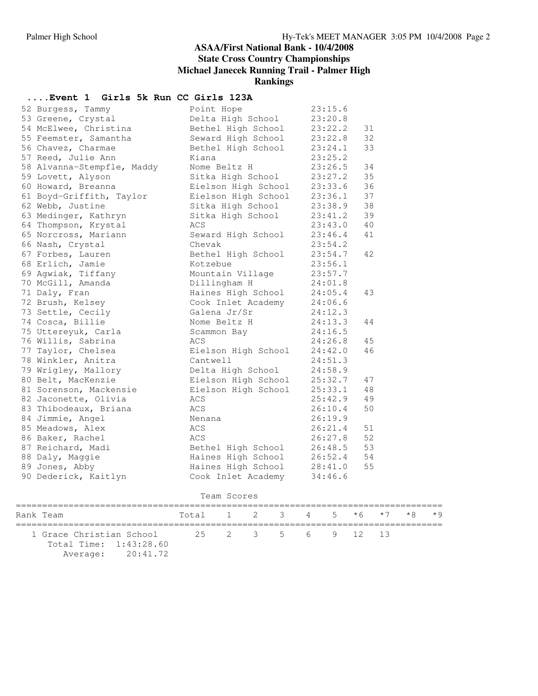## **ASAA/First National Bank - 10/4/2008 State Cross Country Championships Michael Janecek Running Trail - Palmer High**

### **Rankings**

## **....Event 1 Girls 5k Run CC Girls 123A**

| 52 Burgess, Tammy          | Point Hope          | 23:15.6 |    |
|----------------------------|---------------------|---------|----|
| 53 Greene, Crystal         | Delta High School   | 23:20.8 |    |
| 54 McElwee, Christina      | Bethel High School  | 23:22.2 | 31 |
| 55 Feemster, Samantha      | Seward High School  | 23:22.8 | 32 |
| 56 Chavez, Charmae         | Bethel High School  | 23:24.1 | 33 |
| 57 Reed, Julie Ann         | Kiana               | 23:25.2 |    |
| 58 Alvanna-Stempfle, Maddy | Nome Beltz H        | 23:26.5 | 34 |
| 59 Lovett, Alyson          | Sitka High School   | 23:27.2 | 35 |
| 60 Howard, Breanna         | Eielson High School | 23:33.6 | 36 |
| 61 Boyd-Griffith, Taylor   | Eielson High School | 23:36.1 | 37 |
| 62 Webb, Justine           | Sitka High School   | 23:38.9 | 38 |
| 63 Medinger, Kathryn       | Sitka High School   | 23:41.2 | 39 |
| 64 Thompson, Krystal       | ACS                 | 23:43.0 | 40 |
| 65 Norcross, Mariann       | Seward High School  | 23:46.4 | 41 |
| 66 Nash, Crystal           | Chevak              | 23:54.2 |    |
| 67 Forbes, Lauren          | Bethel High School  | 23:54.7 | 42 |
| 68 Erlich, Jamie           | Kotzebue            | 23:56.1 |    |
| 69 Aqwiak, Tiffany         | Mountain Village    | 23:57.7 |    |
| 70 McGill, Amanda          | Dillingham H        | 24:01.8 |    |
| 71 Daly, Fran              | Haines High School  | 24:05.4 | 43 |
| 72 Brush, Kelsey           | Cook Inlet Academy  | 24:06.6 |    |
| 73 Settle, Cecily          | Galena Jr/Sr        | 24:12.3 |    |
| 74 Cosca, Billie           | Nome Beltz H        | 24:13.3 | 44 |
| 75 Uttereyuk, Carla        | Scammon Bay         | 24:16.5 |    |
| 76 Willis, Sabrina         | ACS                 | 24:26.8 | 45 |
| 77 Taylor, Chelsea         | Eielson High School | 24:42.0 | 46 |
| 78 Winkler, Anitra         | Cantwell            | 24:51.3 |    |
| 79 Wrigley, Mallory        | Delta High School   | 24:58.9 |    |
| 80 Belt, MacKenzie         | Eielson High School | 25:32.7 | 47 |
| 81 Sorenson, Mackensie     | Eielson High School | 25:33.1 | 48 |
| 82 Jaconette, Olivia       | ACS                 | 25:42.9 | 49 |
| 83 Thibodeaux, Briana      | ACS                 | 26:10.4 | 50 |
| 84 Jimmie, Angel           | Nenana              | 26:19.9 |    |
| 85 Meadows, Alex           | ACS                 | 26:21.4 | 51 |
| 86 Baker, Rachel           | ACS                 | 26:27.8 | 52 |
| 87 Reichard, Madi          | Bethel High School  | 26:48.5 | 53 |
| 88 Daly, Maggie            | Haines High School  | 26:52.4 | 54 |
| 89 Jones, Abby             | Haines High School  | 28:41.0 | 55 |
| 90 Dederick, Kaitlyn       | Cook Inlet Academy  | 34:46.6 |    |
|                            |                     |         |    |

| Team Scores                                        |                                     |  |                    |  |  |  |  |  |  |  |
|----------------------------------------------------|-------------------------------------|--|--------------------|--|--|--|--|--|--|--|
| Rank Team                                          | Total 1 2 3 4 5 $*6$ $*7$ $*8$ $*9$ |  |                    |  |  |  |  |  |  |  |
| 1 Grace Christian School<br>Total Time: 1:43:28.60 |                                     |  | 25 2 3 5 6 9 12 13 |  |  |  |  |  |  |  |

Average: 20:41.72